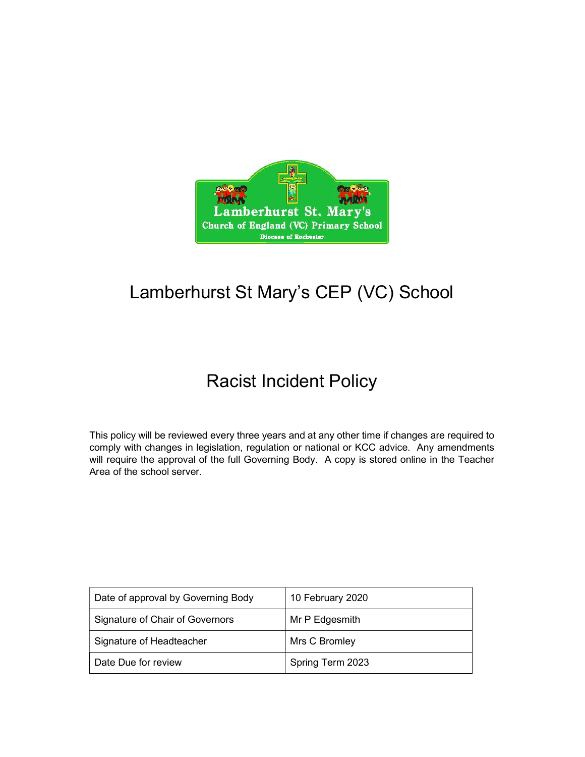

# Lamberhurst St Mary's CEP (VC) School

## Racist Incident Policy

This policy will be reviewed every three years and at any other time if changes are required to comply with changes in legislation, regulation or national or KCC advice. Any amendments will require the approval of the full Governing Body. A copy is stored online in the Teacher Area of the school server.

| Date of approval by Governing Body | 10 February 2020 |
|------------------------------------|------------------|
| Signature of Chair of Governors    | Mr P Edgesmith   |
| Signature of Headteacher           | Mrs C Bromley    |
| Date Due for review                | Spring Term 2023 |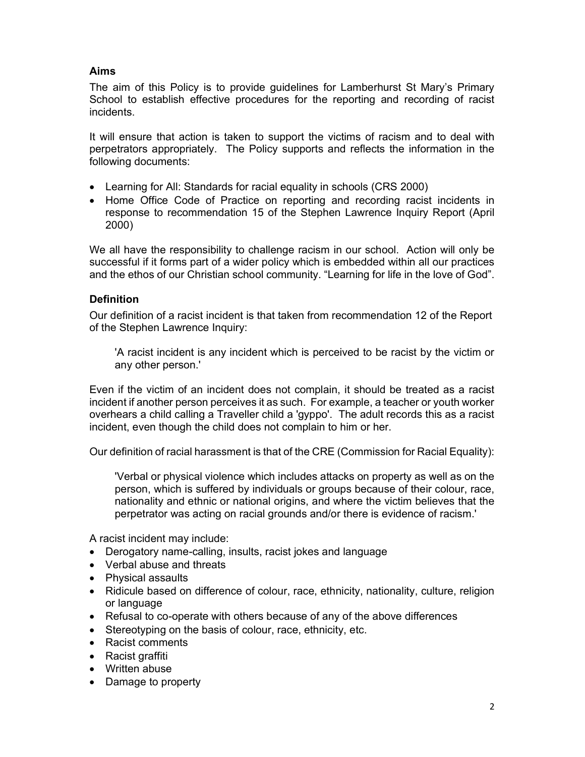## Aims

The aim of this Policy is to provide guidelines for Lamberhurst St Mary's Primary School to establish effective procedures for the reporting and recording of racist incidents.

It will ensure that action is taken to support the victims of racism and to deal with perpetrators appropriately. The Policy supports and reflects the information in the following documents:

- Learning for All: Standards for racial equality in schools (CRS 2000)
- Home Office Code of Practice on reporting and recording racist incidents in response to recommendation 15 of the Stephen Lawrence Inquiry Report (April 2000)

We all have the responsibility to challenge racism in our school. Action will only be successful if it forms part of a wider policy which is embedded within all our practices and the ethos of our Christian school community. "Learning for life in the love of God".

### **Definition**

Our definition of a racist incident is that taken from recommendation 12 of the Report of the Stephen Lawrence Inquiry:

'A racist incident is any incident which is perceived to be racist by the victim or any other person.'

Even if the victim of an incident does not complain, it should be treated as a racist incident if another person perceives it as such. For example, a teacher or youth worker overhears a child calling a Traveller child a 'gyppo'. The adult records this as a racist incident, even though the child does not complain to him or her.

Our definition of racial harassment is that of the CRE (Commission for Racial Equality):

'Verbal or physical violence which includes attacks on property as well as on the person, which is suffered by individuals or groups because of their colour, race, nationality and ethnic or national origins, and where the victim believes that the perpetrator was acting on racial grounds and/or there is evidence of racism.'

A racist incident may include:

- Derogatory name-calling, insults, racist jokes and language
- Verbal abuse and threats
- Physical assaults
- Ridicule based on difference of colour, race, ethnicity, nationality, culture, religion or language
- Refusal to co-operate with others because of any of the above differences
- Stereotyping on the basis of colour, race, ethnicity, etc.
- Racist comments
- Racist graffiti
- Written abuse
- Damage to property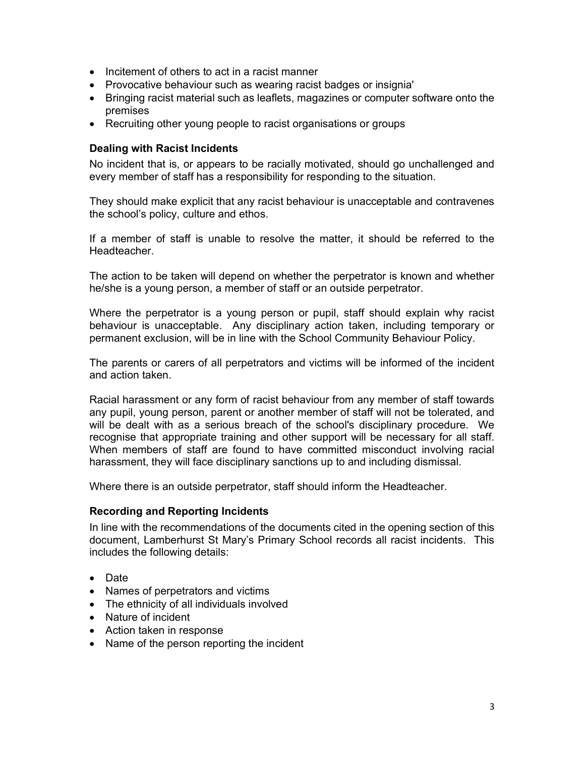- Incitement of others to act in a racist manner
- Provocative behaviour such as wearing racist badges or insignia'
- Bringing racist material such as leaflets, magazines or computer software onto the premises
- Recruiting other young people to racist organisations or groups

#### Dealing with Racist Incidents

No incident that is, or appears to be racially motivated, should go unchallenged and every member of staff has a responsibility for responding to the situation.

They should make explicit that any racist behaviour is unacceptable and contravenes the school's policy, culture and ethos.

If a member of staff is unable to resolve the matter, it should be referred to the Headteacher.

The action to be taken will depend on whether the perpetrator is known and whether he/she is a young person, a member of staff or an outside perpetrator.

Where the perpetrator is a young person or pupil, staff should explain why racist behaviour is unacceptable. Any disciplinary action taken, including temporary or permanent exclusion, will be in line with the School Community Behaviour Policy.

The parents or carers of all perpetrators and victims will be informed of the incident and action taken.

Racial harassment or any form of racist behaviour from any member of staff towards any pupil, young person, parent or another member of staff will not be tolerated, and will be dealt with as a serious breach of the school's disciplinary procedure. We recognise that appropriate training and other support will be necessary for all staff. When members of staff are found to have committed misconduct involving racial harassment, they will face disciplinary sanctions up to and including dismissal.

Where there is an outside perpetrator, staff should inform the Headteacher.

#### Recording and Reporting Incidents

In line with the recommendations of the documents cited in the opening section of this document, Lamberhurst St Mary's Primary School records all racist incidents. This includes the following details:

- Date
- Names of perpetrators and victims
- The ethnicity of all individuals involved
- Nature of incident
- Action taken in response
- Name of the person reporting the incident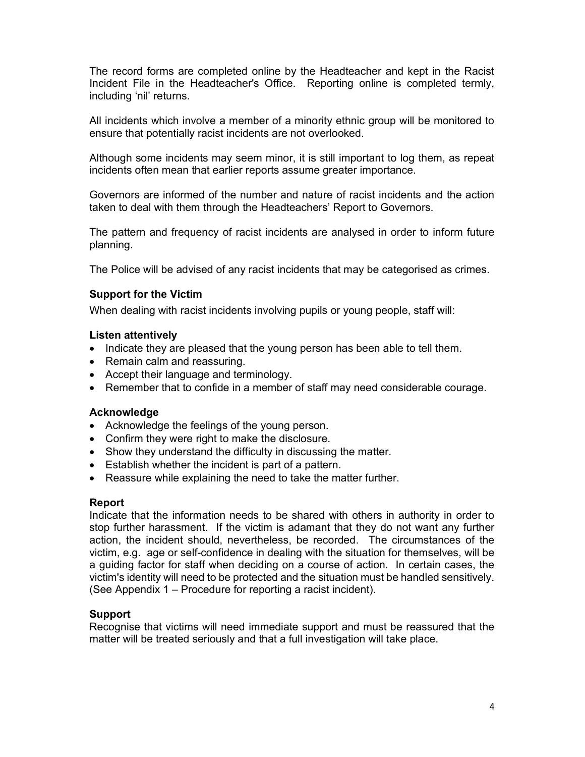The record forms are completed online by the Headteacher and kept in the Racist Incident File in the Headteacher's Office. Reporting online is completed termly, including 'nil' returns.

All incidents which involve a member of a minority ethnic group will be monitored to ensure that potentially racist incidents are not overlooked.

Although some incidents may seem minor, it is still important to log them, as repeat incidents often mean that earlier reports assume greater importance.

Governors are informed of the number and nature of racist incidents and the action taken to deal with them through the Headteachers' Report to Governors.

The pattern and frequency of racist incidents are analysed in order to inform future planning.

The Police will be advised of any racist incidents that may be categorised as crimes.

#### Support for the Victim

When dealing with racist incidents involving pupils or young people, staff will:

#### Listen attentively

- Indicate they are pleased that the young person has been able to tell them.
- Remain calm and reassuring.
- Accept their language and terminology.
- Remember that to confide in a member of staff may need considerable courage.

#### **Acknowledge**

- Acknowledge the feelings of the young person.
- Confirm they were right to make the disclosure.
- Show they understand the difficulty in discussing the matter.
- Establish whether the incident is part of a pattern.
- Reassure while explaining the need to take the matter further.

#### Report

Indicate that the information needs to be shared with others in authority in order to stop further harassment. If the victim is adamant that they do not want any further action, the incident should, nevertheless, be recorded. The circumstances of the victim, e.g. age or self-confidence in dealing with the situation for themselves, will be a guiding factor for staff when deciding on a course of action. In certain cases, the victim's identity will need to be protected and the situation must be handled sensitively. (See Appendix 1 – Procedure for reporting a racist incident).

#### Support

Recognise that victims will need immediate support and must be reassured that the matter will be treated seriously and that a full investigation will take place.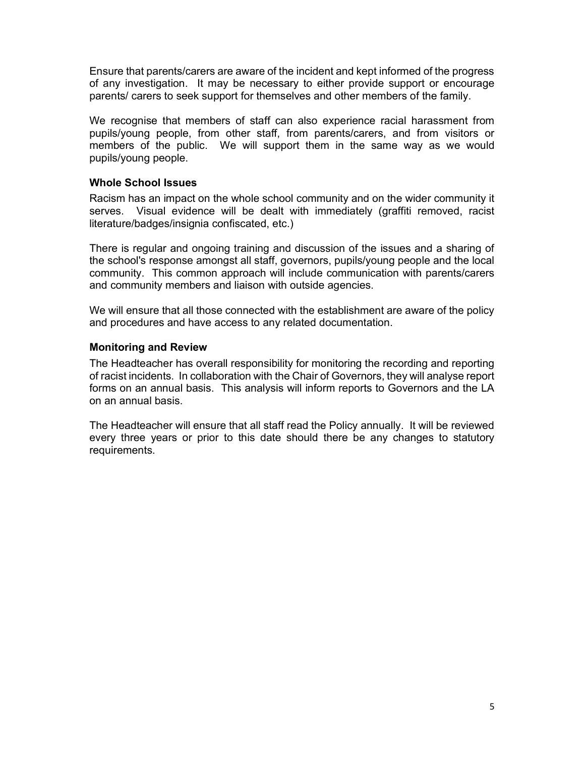Ensure that parents/carers are aware of the incident and kept informed of the progress of any investigation. It may be necessary to either provide support or encourage parents/ carers to seek support for themselves and other members of the family.

We recognise that members of staff can also experience racial harassment from pupils/young people, from other staff, from parents/carers, and from visitors or members of the public. We will support them in the same way as we would pupils/young people.

#### Whole School Issues

Racism has an impact on the whole school community and on the wider community it serves. Visual evidence will be dealt with immediately (graffiti removed, racist literature/badges/insignia confiscated, etc.)

There is regular and ongoing training and discussion of the issues and a sharing of the school's response amongst all staff, governors, pupils/young people and the local community. This common approach will include communication with parents/carers and community members and liaison with outside agencies.

We will ensure that all those connected with the establishment are aware of the policy and procedures and have access to any related documentation.

### Monitoring and Review

The Headteacher has overall responsibility for monitoring the recording and reporting of racist incidents. In collaboration with the Chair of Governors, they will analyse report forms on an annual basis. This analysis will inform reports to Governors and the LA on an annual basis.

The Headteacher will ensure that all staff read the Policy annually. It will be reviewed every three years or prior to this date should there be any changes to statutory requirements.